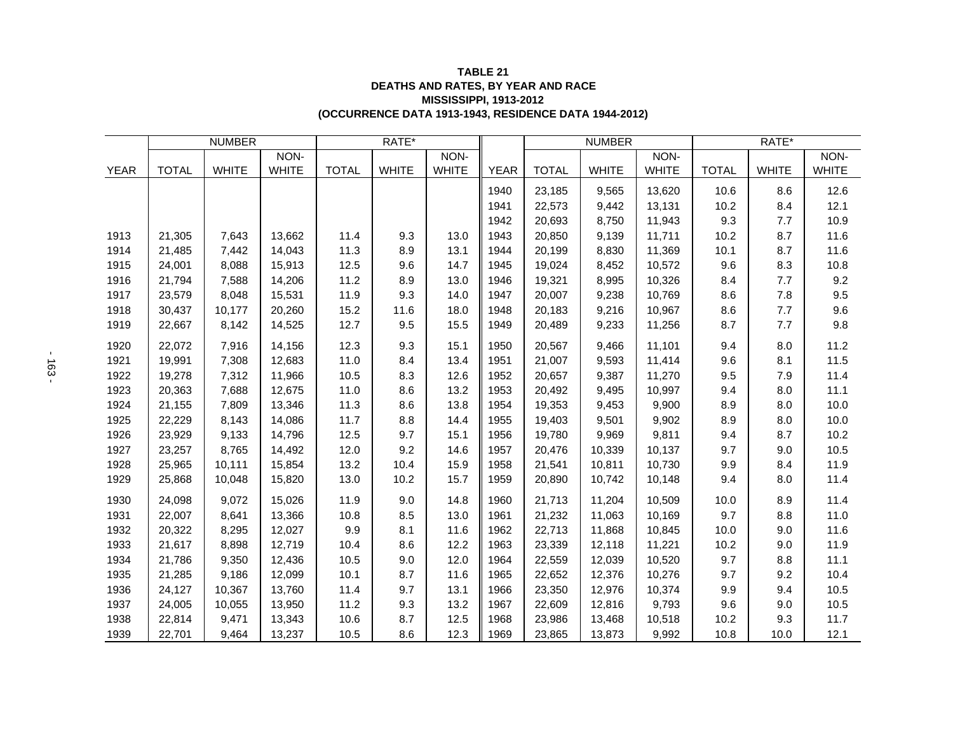## **(OCCURRENCE DATA 1913-1943, RESIDENCE DATA 1944-2012) TABLE 21 DEATHS AND RATES, BY YEAR AND RACE MISSISSIPPI, 1913-2012**

|             | <b>NUMBER</b> |              |              | RATE*        |              |              |             | <b>NUMBER</b> |              |              | RATE*        |              |              |
|-------------|---------------|--------------|--------------|--------------|--------------|--------------|-------------|---------------|--------------|--------------|--------------|--------------|--------------|
|             |               |              | NON-         |              |              | NON-         |             |               |              | NON-         |              |              | NON-         |
| <b>YEAR</b> | <b>TOTAL</b>  | <b>WHITE</b> | <b>WHITE</b> | <b>TOTAL</b> | <b>WHITE</b> | <b>WHITE</b> | <b>YEAR</b> | <b>TOTAL</b>  | <b>WHITE</b> | <b>WHITE</b> | <b>TOTAL</b> | <b>WHITE</b> | <b>WHITE</b> |
|             |               |              |              |              |              |              | 1940        | 23,185        | 9,565        | 13,620       | 10.6         | 8.6          | 12.6         |
|             |               |              |              |              |              |              | 1941        | 22,573        | 9,442        | 13,131       | 10.2         | 8.4          | 12.1         |
|             |               |              |              |              |              |              | 1942        | 20,693        | 8,750        | 11,943       | 9.3          | 7.7          | 10.9         |
| 1913        | 21,305        | 7,643        | 13,662       | 11.4         | 9.3          | 13.0         | 1943        | 20,850        | 9,139        | 11,711       | 10.2         | 8.7          | 11.6         |
| 1914        | 21,485        | 7,442        | 14,043       | 11.3         | 8.9          | 13.1         | 1944        | 20,199        | 8,830        | 11,369       | 10.1         | 8.7          | 11.6         |
| 1915        | 24,001        | 8,088        | 15,913       | 12.5         | 9.6          | 14.7         | 1945        | 19,024        | 8,452        | 10,572       | 9.6          | 8.3          | 10.8         |
| 1916        | 21,794        | 7,588        | 14,206       | 11.2         | 8.9          | 13.0         | 1946        | 19,321        | 8,995        | 10,326       | 8.4          | 7.7          | 9.2          |
| 1917        | 23,579        | 8,048        | 15,531       | 11.9         | 9.3          | 14.0         | 1947        | 20,007        | 9,238        | 10,769       | 8.6          | 7.8          | 9.5          |
| 1918        | 30,437        | 10,177       | 20,260       | 15.2         | 11.6         | 18.0         | 1948        | 20,183        | 9,216        | 10,967       | 8.6          | 7.7          | 9.6          |
| 1919        | 22,667        | 8,142        | 14,525       | 12.7         | 9.5          | 15.5         | 1949        | 20,489        | 9,233        | 11,256       | 8.7          | 7.7          | 9.8          |
| 1920        | 22,072        | 7,916        | 14,156       | 12.3         | 9.3          | 15.1         | 1950        | 20,567        | 9,466        | 11,101       | 9.4          | 8.0          | 11.2         |
| 1921        | 19,991        | 7,308        | 12,683       | 11.0         | 8.4          | 13.4         | 1951        | 21,007        | 9,593        | 11,414       | 9.6          | 8.1          | 11.5         |
| 1922        | 19,278        | 7,312        | 11,966       | 10.5         | 8.3          | 12.6         | 1952        | 20,657        | 9,387        | 11,270       | 9.5          | 7.9          | 11.4         |
| 1923        | 20,363        | 7,688        | 12,675       | 11.0         | 8.6          | 13.2         | 1953        | 20,492        | 9,495        | 10,997       | 9.4          | 8.0          | 11.1         |
| 1924        | 21,155        | 7,809        | 13,346       | 11.3         | 8.6          | 13.8         | 1954        | 19,353        | 9,453        | 9,900        | 8.9          | 8.0          | 10.0         |
| 1925        | 22,229        | 8,143        | 14,086       | 11.7         | 8.8          | 14.4         | 1955        | 19,403        | 9,501        | 9,902        | 8.9          | 8.0          | 10.0         |
| 1926        | 23,929        | 9,133        | 14,796       | 12.5         | 9.7          | 15.1         | 1956        | 19,780        | 9,969        | 9,811        | 9.4          | 8.7          | 10.2         |
| 1927        | 23,257        | 8,765        | 14,492       | 12.0         | 9.2          | 14.6         | 1957        | 20,476        | 10,339       | 10,137       | 9.7          | 9.0          | 10.5         |
| 1928        | 25,965        | 10,111       | 15,854       | 13.2         | 10.4         | 15.9         | 1958        | 21,541        | 10,811       | 10,730       | 9.9          | 8.4          | 11.9         |
| 1929        | 25,868        | 10,048       | 15,820       | 13.0         | 10.2         | 15.7         | 1959        | 20,890        | 10,742       | 10,148       | 9.4          | 8.0          | 11.4         |
| 1930        | 24,098        | 9,072        | 15,026       | 11.9         | 9.0          | 14.8         | 1960        | 21,713        | 11,204       | 10,509       | 10.0         | 8.9          | 11.4         |
| 1931        | 22,007        | 8,641        | 13,366       | 10.8         | 8.5          | 13.0         | 1961        | 21,232        | 11,063       | 10,169       | 9.7          | 8.8          | 11.0         |
| 1932        | 20,322        | 8,295        | 12,027       | 9.9          | 8.1          | 11.6         | 1962        | 22,713        | 11,868       | 10,845       | 10.0         | 9.0          | 11.6         |
| 1933        | 21,617        | 8,898        | 12,719       | 10.4         | 8.6          | 12.2         | 1963        | 23,339        | 12,118       | 11,221       | 10.2         | 9.0          | 11.9         |
| 1934        | 21,786        | 9,350        | 12,436       | 10.5         | 9.0          | 12.0         | 1964        | 22,559        | 12,039       | 10,520       | 9.7          | 8.8          | 11.1         |
| 1935        | 21,285        | 9,186        | 12,099       | 10.1         | 8.7          | 11.6         | 1965        | 22,652        | 12,376       | 10,276       | 9.7          | 9.2          | 10.4         |
| 1936        | 24,127        | 10,367       | 13,760       | 11.4         | 9.7          | 13.1         | 1966        | 23,350        | 12,976       | 10,374       | 9.9          | 9.4          | 10.5         |
| 1937        | 24,005        | 10,055       | 13,950       | 11.2         | 9.3          | 13.2         | 1967        | 22,609        | 12,816       | 9,793        | 9.6          | 9.0          | 10.5         |
| 1938        | 22,814        | 9,471        | 13,343       | 10.6         | 8.7          | 12.5         | 1968        | 23,986        | 13,468       | 10,518       | 10.2         | 9.3          | 11.7         |
| 1939        | 22,701        | 9,464        | 13,237       | 10.5         | 8.6          | 12.3         | 1969        | 23,865        | 13,873       | 9,992        | 10.8         | 10.0         | 12.1         |